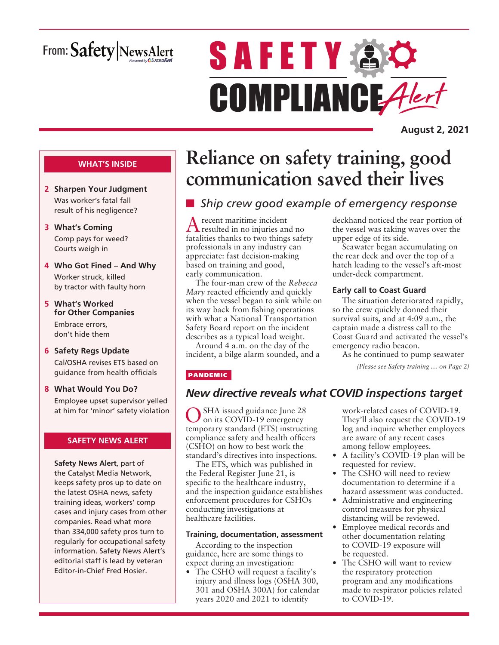# From: Safety NewsAlert

# **SAFETY & O** COMPLIANCE Alert

**August 2, 2021**

#### **WHAT'S INSIDE**

- **2 Sharpen Your Judgment** Was worker's fatal fall result of his negligence?
- **3 What's Coming** Comp pays for weed? Courts weigh in
- **4 Who Got Fined And Why** Worker struck, killed by tractor with faulty horn
- **5 What's Worked for Other Companies** Embrace errors, don't hide them
- **6 Safety Regs Update** Cal/OSHA revises ETS based on guidance from health officials
- **8 What Would You Do?** Employee upset supervisor yelled at him for 'minor' safety violation

#### **SAFETY NEWS ALERT**

**Safety News Alert**, part of the Catalyst Media Network, keeps safety pros up to date on the latest OSHA news, safety training ideas, workers' comp cases and injury cases from other companies. Read what more than 334,000 safety pros turn to regularly for occupational safety information. Safety News Alert's editorial staff is lead by veteran Editor-in-Chief Fred Hosier.

# **Reliance on safety training, good communication saved their lives**

# **n** *Ship crew good example of emergency response*

A recent maritime incident resulted in no injuries and no fatalities thanks to two things safety professionals in any industry can appreciate: fast decision-making based on training and good, early communication.

The four-man crew of the *Rebecca Mary* reacted efficiently and quickly when the vessel began to sink while on its way back from fishing operations with what a National Transportation Safety Board report on the incident describes as a typical load weight.

Around 4 a.m. on the day of the incident, a bilge alarm sounded, and a

#### PANDEMIC

### *New directive reveals what COVID inspections target*

SHA issued guidance June 28 on its COVID-19 emergency temporary standard (ETS) instructing compliance safety and health officers (CSHO) on how to best work the standard's directives into inspections.

The ETS, which was published in the Federal Register June 21, is specific to the healthcare industry, and the inspection guidance establishes enforcement procedures for CSHOs conducting investigations at healthcare facilities.

#### **Training, documentation, assessment**

According to the inspection guidance, here are some things to expect during an investigation:

• The CSHO will request a facility's injury and illness logs (OSHA 300, 301 and OSHA 300A) for calendar years 2020 and 2021 to identify

work-related cases of COVID-19. They'll also request the COVID-19 log and inquire whether employees are aware of any recent cases among fellow employees.

deckhand noticed the rear portion of the vessel was taking waves over the

Seawater began accumulating on the rear deck and over the top of a hatch leading to the vessel's aft-most

The situation deteriorated rapidly, so the crew quickly donned their survival suits, and at 4:09 a.m., the captain made a distress call to the Coast Guard and activated the vessel's

As he continued to pump seawater

*(Please see Safety training … on Page 2)*

upper edge of its side.

under-deck compartment.

**Early call to Coast Guard**

emergency radio beacon.

- A facility's COVID-19 plan will be requested for review.
- The CSHO will need to review documentation to determine if a hazard assessment was conducted.
- Administrative and engineering control measures for physical distancing will be reviewed.
- Employee medical records and other documentation relating to COVID-19 exposure will be requested.
- The CSHO will want to review the respiratory protection program and any modifications made to respirator policies related to COVID-19.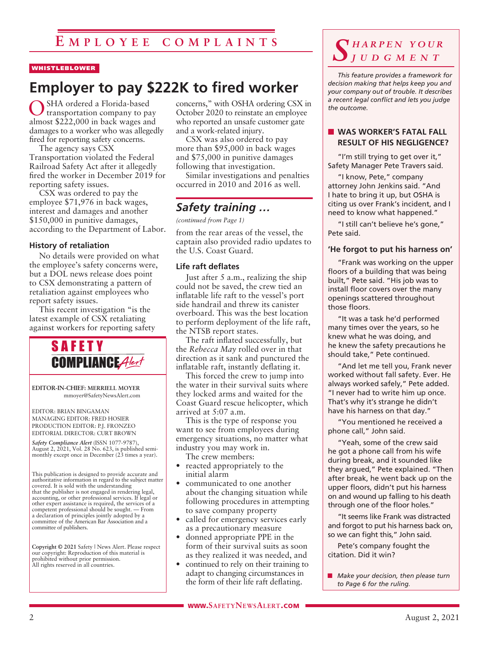# **E m p l o y ee c o m p l a i n t s**

#### WHISTLEBLOWER

# **Employer to pay \$222K to fired worker**

OSHA ordered a Florida-based transportation company to pay almost \$222,000 in back wages and damages to a worker who was allegedly fired for reporting safety concerns.

The agency says CSX Transportation violated the Federal Railroad Safety Act after it allegedly fired the worker in December 2019 for reporting safety issues.

CSX was ordered to pay the employee \$71,976 in back wages, interest and damages and another \$150,000 in punitive damages, according to the Department of Labor.

#### **History of retaliation**

No details were provided on what the employee's safety concerns were, but a DOL news release does point to CSX demonstrating a pattern of retaliation against employees who report safety issues.

This recent investigation "is the latest example of CSX retaliating against workers for reporting safety



**EDITOR-IN-CHIEF: MERRIELL MOYER** mmoyer@SafetyNewsAlert.com

EDITOR: BRIAN BINGAMAN MANAGING EDITOR: FRED HOSIER PRODUCTION EDITOR: P.J. FRONZEO EDITORIAL DIRECTOR: CURT BROWN

*Safety Compliance Alert* (ISSN 1077-9787), August 2, 2021, Vol. 28 No. 623, is published semimonthly except once in December (23 times a year).

This publication is designed to provide accurate and authoritative information in regard to the subject matter covered. It is sold with the understanding that the publisher is not engaged in rendering legal, accounting, or other professional services. If legal or other expert assistance is required, the services of a competent professional should be sought. — From a declaration of principles jointly adopted by a committee of the American Bar Association and a committee of publishers.

**Copyright © 2021** Safety | News Alert. Please respect our copyright: Reproduction of this material is prohibited without prior permission. All rights reserved in all countries.

concerns," with OSHA ordering CSX in October 2020 to reinstate an employee who reported an unsafe customer gate and a work-related injury.

CSX was also ordered to pay more than \$95,000 in back wages and \$75,000 in punitive damages following that investigation.

Similar investigations and penalties occurred in 2010 and 2016 as well.

# *Safety training …*

*(continued from Page 1)*

from the rear areas of the vessel, the captain also provided radio updates to the U.S. Coast Guard.

#### **Life raft deflates**

Just after 5 a.m., realizing the ship could not be saved, the crew tied an inflatable life raft to the vessel's port side handrail and threw its canister overboard. This was the best location to perform deployment of the life raft, the NTSB report states.

The raft inflated successfully, but the *Rebecca May* rolled over in that direction as it sank and punctured the inflatable raft, instantly deflating it.

This forced the crew to jump into the water in their survival suits where they locked arms and waited for the Coast Guard rescue helicopter, which arrived at 5:07 a.m.

This is the type of response you want to see from employees during emergency situations, no matter what industry you may work in.

The crew members:

- reacted appropriately to the initial alarm
- communicated to one another about the changing situation while following procedures in attempting to save company property
- called for emergency services early as a precautionary measure
- donned appropriate PPE in the form of their survival suits as soon as they realized it was needed, and
- continued to rely on their training to adapt to changing circumstances in the form of their life raft deflating.

### *S h a r p e n y o u r j u d g m e n t*

*This feature provides a framework for decision making that helps keep you and your company out of trouble. It describes a recent legal conflict and lets you judge the outcome.*

#### **NORKER'S FATAL FALL RESULT OF HIS NEGLIGENCE?**

"I'm still trying to get over it," Safety Manager Pete Travers said.

"I know, Pete," company attorney John Jenkins said. "And I hate to bring it up, but OSHA is citing us over Frank's incident, and I need to know what happened."

"I still can't believe he's gone," Pete said.

#### **'He forgot to put his harness on'**

"Frank was working on the upper floors of a building that was being built," Pete said. "His job was to install floor covers over the many openings scattered throughout those floors.

"It was a task he'd performed many times over the years, so he knew what he was doing, and he knew the safety precautions he should take," Pete continued.

"And let me tell you, Frank never worked without fall safety. Ever. He always worked safely," Pete added. "I never had to write him up once. That's why it's strange he didn't have his harness on that day."

"You mentioned he received a phone call," John said.

"Yeah, some of the crew said he got a phone call from his wife during break, and it sounded like they argued," Pete explained. "Then after break, he went back up on the upper floors, didn't put his harness on and wound up falling to his death through one of the floor holes."

"It seems like Frank was distracted and forgot to put his harness back on, so we can fight this," John said.

Pete's company fought the citation. Did it win?

**n** *Make your decision, then please turn to Page 6 for the ruling.*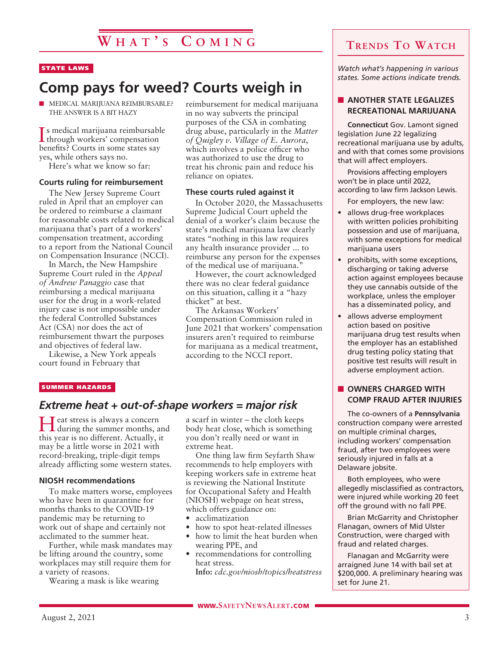#### STATE LAWS

# **Comp pays for weed? Courts weigh in**

 $\blacksquare$  MEDICAL MARIJUANA REIMBURSABLE? THE ANSWER IS A BIT HAZY

I through workers' compensation s medical marijuana reimbursable benefits? Courts in some states say yes, while others says no.

Here's what we know so far:

#### **Courts ruling for reimbursement**

The New Jersey Supreme Court ruled in April that an employer can be ordered to reimburse a claimant for reasonable costs related to medical marijuana that's part of a workers' compensation treatment, according to a report from the National Council on Compensation Insurance (NCCI).

In March, the New Hampshire Supreme Court ruled in the *Appeal of Andrew Panaggio* case that reimbursing a medical marijuana user for the drug in a work-related injury case is not impossible under the federal Controlled Substances Act (CSA) nor does the act of reimbursement thwart the purposes and objectives of federal law.

Likewise, a New York appeals court found in February that

reimbursement for medical marijuana in no way subverts the principal purposes of the CSA in combating drug abuse, particularly in the *Matter of Quigley v. Village of E. Aurora*, which involves a police officer who was authorized to use the drug to treat his chronic pain and reduce his reliance on opiates.

#### **These courts ruled against it**

In October 2020, the Massachusetts Supreme Judicial Court upheld the denial of a worker's claim because the state's medical marijuana law clearly states "nothing in this law requires any health insurance provider ... to reimburse any person for the expenses of the medical use of marijuana."

However, the court acknowledged there was no clear federal guidance on this situation, calling it a "hazy thicket" at best.

The Arkansas Workers' Compensation Commission ruled in June 2021 that workers' compensation insurers aren't required to reimburse for marijuana as a medical treatment, according to the NCCI report.

#### SUMMER HAZARDS

#### *Extreme heat + out-of-shape workers = major risk*

Heat stress is always a concern during the summer months, and this year is no different. Actually, it may be a little worse in 2021 with record-breaking, triple-digit temps already afflicting some western states.

#### **NIOSH recommendations**

To make matters worse, employees who have been in quarantine for months thanks to the COVID-19 pandemic may be returning to work out of shape and certainly not acclimated to the summer heat.

Further, while mask mandates may be lifting around the country, some workplaces may still require them for a variety of reasons.

Wearing a mask is like wearing

a scarf in winter – the cloth keeps body heat close, which is something you don't really need or want in extreme heat.

One thing law firm Seyfarth Shaw recommends to help employers with keeping workers safe in extreme heat is reviewing the National Institute for Occupational Safety and Health (NIOSH) webpage on heat stress, which offers guidance on:

- acclimatization
- how to spot heat-related illnesses
- how to limit the heat burden when wearing PPE, and
- recommendations for controlling heat stress.

**Info:** *cdc.gov/niosh/topics/heatstress*

# **Trends To Watch**

*Watch what's happening in various states. Some actions indicate trends.*

#### **NOTHER STATE LEGALIZES RECREATIONAL MARIJUANA**

**Connecticut** Gov. Lamont signed legislation June 22 legalizing recreational marijuana use by adults, and with that comes some provisions that will affect employers.

Provisions affecting employers won't be in place until 2022, according to law firm Jackson Lewis.

For employers, the new law:

- allows drug-free workplaces with written policies prohibiting possession and use of marijuana, with some exceptions for medical marijuana users
- prohibits, with some exceptions, discharging or taking adverse action against employees because they use cannabis outside of the workplace, unless the employer has a disseminated policy, and
- allows adverse employment action based on positive marijuana drug test results when the employer has an established drug testing policy stating that positive test results will result in adverse employment action.

#### **N** OWNERS CHARGED WITH **COMP FRAUD AFTER INJURIES**

The co-owners of a **Pennsylvania** construction company were arrested on multiple criminal charges, including workers' compensation fraud, after two employees were seriously injured in falls at a Delaware jobsite.

Both employees, who were allegedly misclassified as contractors, were injured while working 20 feet off the ground with no fall PPE.

Brian McGarrity and Christopher Flanagan, owners of Mid Ulster Construction, were charged with fraud and related charges.

Flanagan and McGarrity were arraigned June 14 with bail set at \$200,000. A preliminary hearing was set for June 21.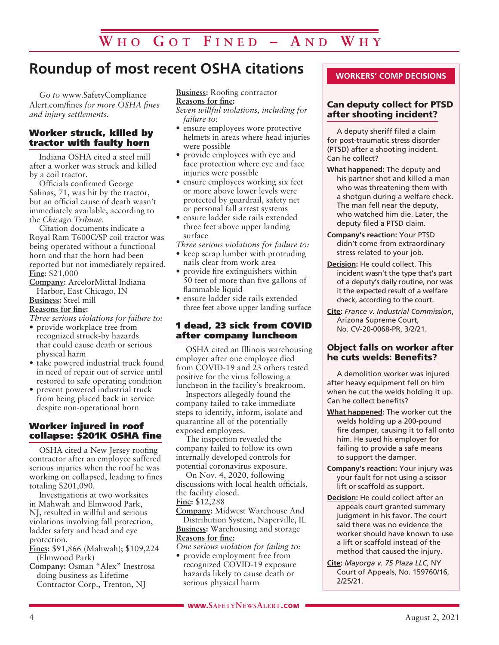# **Roundup of most recent OSHA citations**

*Go to* www.SafetyCompliance Alert.com/fines *for more OSHA fines and injury settlements.*

#### Worker struck, killed by tractor with faulty horn

Indiana OSHA cited a steel mill after a worker was struck and killed by a coil tractor.

Officials confirmed George Salinas, 71, was hit by the tractor, but an official cause of death wasn't immediately available, according to the *Chicago Tribune*.

Citation documents indicate a Royal Ram T600C/SP coil tractor was being operated without a functional horn and that the horn had been reported but not immediately repaired. **Fine:** \$21,000

**Company:** ArcelorMittal Indiana Harbor, East Chicago, IN

**Business:** Steel mill **Reasons for fine:**

*Three serious violations for failure to:*

- provide workplace free from recognized struck-by hazards that could cause death or serious physical harm
- take powered industrial truck found in need of repair out of service until restored to safe operating condition
- prevent powered industrial truck from being placed back in service despite non-operational horn

#### Worker injured in roof collapse: \$201K OSHA fine

OSHA cited a New Jersey roofing contractor after an employee suffered serious injuries when the roof he was working on collapsed, leading to fines totaling \$201,090.

Investigations at two worksites in Mahwah and Elmwood Park, NJ, resulted in willful and serious violations involving fall protection, ladder safety and head and eye protection.

**Fines:** \$91,866 (Mahwah); \$109,224 (Elmwood Park)

**Company:** Osman "Alex" Inestrosa doing business as Lifetime Contractor Corp., Trenton, NJ

**Business:** Roofing contractor **Reasons for fine:**

*Seven willful violations, including for failure to:*

- ensure employees wore protective helmets in areas where head injuries were possible
- provide employees with eye and face protection where eye and face injuries were possible
- ensure employees working six feet or more above lower levels were protected by guardrail, safety net or personal fall arrest systems
- ensure ladder side rails extended three feet above upper landing surface
- *Three serious violations for failure to:*
- keep scrap lumber with protruding nails clear from work area
- provide fire extinguishers within 50 feet of more than five gallons of flammable liquid
- ensure ladder side rails extended three feet above upper landing surface

#### 1 dead, 23 sick from COVID after company luncheon

OSHA cited an Illinois warehousing employer after one employee died from COVID-19 and 23 others tested positive for the virus following a luncheon in the facility's breakroom.

Inspectors allegedly found the company failed to take immediate steps to identify, inform, isolate and quarantine all of the potentially exposed employees.

The inspection revealed the company failed to follow its own internally developed controls for potential coronavirus exposure.

On Nov. 4, 2020, following discussions with local health officials, the facility closed. **Fine:** \$12,288

**Company:** Midwest Warehouse And Distribution System, Naperville, IL **Business:** Warehousing and storage **Reasons for fine:**

*One serious violation for failing to:*

• provide employment free from recognized COVID-19 exposure hazards likely to cause death or serious physical harm

#### Can deputy collect for PTSD after shooting incident?

A deputy sheriff filed a claim for post-traumatic stress disorder (PTSD) after a shooting incident. Can he collect?

- **What happened:** The deputy and his partner shot and killed a man who was threatening them with a shotgun during a welfare check. The man fell near the deputy, who watched him die. Later, the deputy filed a PTSD claim.
- **Company's reaction:** Your PTSD didn't come from extraordinary stress related to your job.
- **Decision:** He could collect. This incident wasn't the type that's part of a deputy's daily routine, nor was it the expected result of a welfare check, according to the court.
- **Cite:** *France v. Industrial Commission*, Arizona Supreme Court, No. CV-20-0068-PR, 3/2/21.

#### Object falls on worker after he cuts welds: Benefits?

A demolition worker was injured after heavy equipment fell on him when he cut the welds holding it up. Can he collect benefits?

- **What happened:** The worker cut the welds holding up a 200-pound fire damper, causing it to fall onto him. He sued his employer for failing to provide a safe means to support the damper.
- **Company's reaction:** Your injury was your fault for not using a scissor lift or scaffold as support.
- **Decision:** He could collect after an appeals court granted summary judgment in his favor. The court said there was no evidence the worker should have known to use a lift or scaffold instead of the method that caused the injury.
- **Cite:** *Mayorga v. 75 Plaza LLC*, NY Court of Appeals, No. 159760/16, 2/25/21.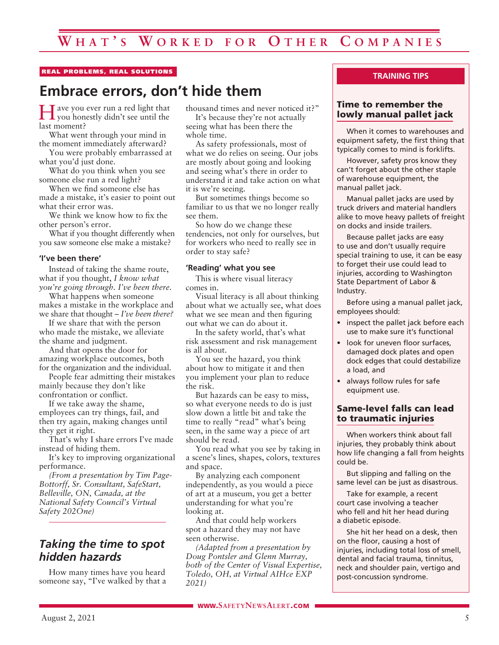#### REAL PROBLEMS, REAL SOLUTIONS

# **Embrace errors, don't hide them**

Have you ever run a red light that you honestly didn't see until the last moment?

What went through your mind in the moment immediately afterward?

You were probably embarrassed at what you'd just done.

What do you think when you see someone else run a red light?

When we find someone else has made a mistake, it's easier to point out what their error was.

We think we know how to fix the other person's error.

What if you thought differently when you saw someone else make a mistake?

#### **'I've been there'**

Instead of taking the shame route, what if you thought, *I know what you're going through. I've been there.*

What happens when someone makes a mistake in the workplace and we share that thought – *I've been there?*

If we share that with the person who made the mistake, we alleviate the shame and judgment.

And that opens the door for amazing workplace outcomes, both for the organization and the individual.

People fear admitting their mistakes mainly because they don't like confrontation or conflict.

If we take away the shame, employees can try things, fail, and then try again, making changes until they get it right.

That's why I share errors I've made instead of hiding them.

It's key to improving organizational performance.

*(From a presentation by Tim Page-Bottorff, Sr. Consultant, SafeStart, Belleville, ON, Canada, at the National Safety Council's Virtual Safety 202One)*

# *Taking the time to spot hidden hazards*

How many times have you heard someone say, "I've walked by that a thousand times and never noticed it?" It's because they're not actually

seeing what has been there the whole time.

As safety professionals, most of what we do relies on seeing. Our jobs are mostly about going and looking and seeing what's there in order to understand it and take action on what it is we're seeing.

But sometimes things become so familiar to us that we no longer really see them.

So how do we change these tendencies, not only for ourselves, but for workers who need to really see in order to stay safe?

#### **'Reading' what you see**

This is where visual literacy comes in.

Visual literacy is all about thinking about what we actually see, what does what we see mean and then figuring out what we can do about it.

In the safety world, that's what risk assessment and risk management is all about.

You see the hazard, you think about how to mitigate it and then you implement your plan to reduce the risk.

But hazards can be easy to miss, so what everyone needs to do is just slow down a little bit and take the time to really "read" what's being seen, in the same way a piece of art should be read.

You read what you see by taking in a scene's lines, shapes, colors, textures and space.

By analyzing each component independently, as you would a piece of art at a museum, you get a better understanding for what you're looking at.

And that could help workers spot a hazard they may not have seen otherwise.

*(Adapted from a presentation by Doug Pontsler and Glenn Murray, both of the Center of Visual Expertise, Toledo, OH, at Virtual AIHce EXP 2021)*

#### **TRAINING TIPS**

#### Time to remember the lowly manual pallet jack

When it comes to warehouses and equipment safety, the first thing that typically comes to mind is forklifts.

However, safety pros know they can't forget about the other staple of warehouse equipment, the manual pallet jack.

Manual pallet jacks are used by truck drivers and material handlers alike to move heavy pallets of freight on docks and inside trailers.

Because pallet jacks are easy to use and don't usually require special training to use, it can be easy to forget their use could lead to injuries, according to Washington State Department of Labor & Industry.

Before using a manual pallet jack, employees should:

- inspect the pallet jack before each use to make sure it's functional
- look for uneven floor surfaces, damaged dock plates and open dock edges that could destabilize a load, and
- always follow rules for safe equipment use.

#### Same-level falls can lead to traumatic injuries

When workers think about fall injuries, they probably think about how life changing a fall from heights could be.

But slipping and falling on the same level can be just as disastrous.

Take for example, a recent court case involving a teacher who fell and hit her head during a diabetic episode.

She hit her head on a desk, then on the floor, causing a host of injuries, including total loss of smell, dental and facial trauma, tinnitus, neck and shoulder pain, vertigo and post-concussion syndrome.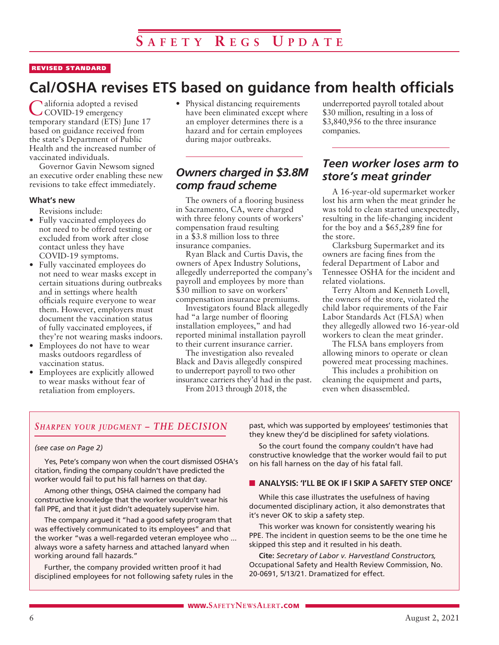#### REVISED STANDARD

# **Cal/OSHA revises ETS based on guidance from health officials**

alifornia adopted a revised COVID-19 emergency temporary standard (ETS) June 17 based on guidance received from the state's Department of Public Health and the increased number of vaccinated individuals.

Governor Gavin Newsom signed an executive order enabling these new revisions to take effect immediately.

#### **What's new**

Revisions include:

- Fully vaccinated employees do not need to be offered testing or excluded from work after close contact unless they have COVID-19 symptoms.
- Fully vaccinated employees do not need to wear masks except in certain situations during outbreaks and in settings where health officials require everyone to wear them. However, employers must document the vaccination status of fully vaccinated employees, if they're not wearing masks indoors.
- Employees do not have to wear masks outdoors regardless of vaccination status.
- Employees are explicitly allowed to wear masks without fear of retaliation from employers.

• Physical distancing requirements have been eliminated except where an employer determines there is a hazard and for certain employees during major outbreaks.

### *Owners charged in \$3.8M comp fraud scheme*

The owners of a flooring business in Sacramento, CA, were charged with three felony counts of workers' compensation fraud resulting in a \$3.8 million loss to three insurance companies.

Ryan Black and Curtis Davis, the owners of Apex Industry Solutions, allegedly underreported the company's payroll and employees by more than \$30 million to save on workers' compensation insurance premiums.

Investigators found Black allegedly had "a large number of flooring installation employees," and had reported minimal installation payroll to their current insurance carrier.

The investigation also revealed Black and Davis allegedly conspired to underreport payroll to two other insurance carriers they'd had in the past.

From 2013 through 2018, the

underreported payroll totaled about \$30 million, resulting in a loss of \$3,840,956 to the three insurance companies.

# *Teen worker loses arm to store's meat grinder*

A 16-year-old supermarket worker lost his arm when the meat grinder he was told to clean started unexpectedly, resulting in the life-changing incident for the boy and a \$65,289 fine for the store.

Clarksburg Supermarket and its owners are facing fines from the federal Department of Labor and Tennessee OSHA for the incident and related violations.

Terry Altom and Kenneth Lovell, the owners of the store, violated the child labor requirements of the Fair Labor Standards Act (FLSA) when they allegedly allowed two 16-year-old workers to clean the meat grinder.

The FLSA bans employers from allowing minors to operate or clean powered meat processing machines.

This includes a prohibition on cleaning the equipment and parts, even when disassembled.

#### *Sharpen your judgment – THE DECISION*

#### *(see case on Page 2)*

Yes, Pete's company won when the court dismissed OSHA's citation, finding the company couldn't have predicted the worker would fail to put his fall harness on that day.

Among other things, OSHA claimed the company had constructive knowledge that the worker wouldn't wear his fall PPE, and that it just didn't adequately supervise him.

The company argued it "had a good safety program that was effectively communicated to its employees" and that the worker "was a well-regarded veteran employee who ... always wore a safety harness and attached lanyard when working around fall hazards."

Further, the company provided written proof it had disciplined employees for not following safety rules in the past, which was supported by employees' testimonies that they knew they'd be disciplined for safety violations.

So the court found the company couldn't have had constructive knowledge that the worker would fail to put on his fall harness on the day of his fatal fall.

#### **N** ANALYSIS: 'I'LL BE OK IF I SKIP A SAFETY STEP ONCE'

While this case illustrates the usefulness of having documented disciplinary action, it also demonstrates that it's never OK to skip a safety step.

This worker was known for consistently wearing his PPE. The incident in question seems to be the one time he skipped this step and it resulted in his death.

**Cite:** *Secretary of Labor v. Harvestland Constructors,* Occupational Safety and Health Review Commission, No. 20-0691, 5/13/21. Dramatized for effect.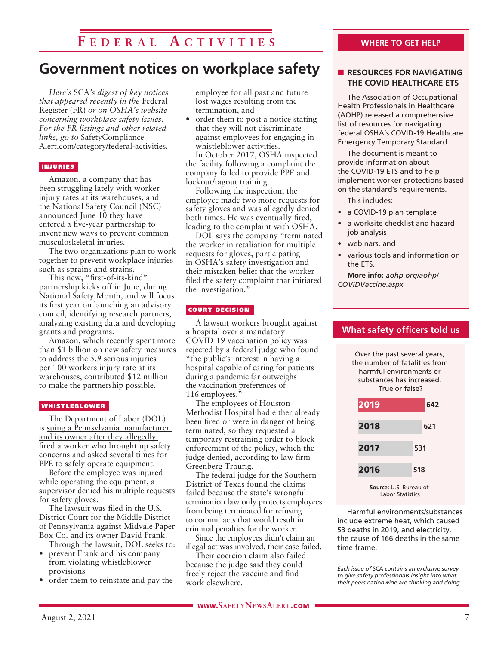# **F e d e r a l A c t i v i t i e s**

# **Government notices on workplace safety**

*Here's* SCA*'s digest of key notices that appeared recently in the* Federal Register (FR) *or on OSHA's website concerning workplace safety issues. For the FR listings and other related links, go to* SafetyCompliance Alert.com/category/federal-activities*.*

#### INJURIES

Amazon, a company that has been struggling lately with worker injury rates at its warehouses, and the National Safety Council (NSC) announced June 10 they have entered a five-year partnership to invent new ways to prevent common musculoskeletal injuries.

The two organizations plan to work together to prevent workplace injuries such as sprains and strains.

This new, "first-of-its-kind" partnership kicks off in June, during National Safety Month, and will focus its first year on launching an advisory council, identifying research partners, analyzing existing data and developing grants and programs.

Amazon, which recently spent more than \$1 billion on new safety measures to address the 5.9 serious injuries per 100 workers injury rate at its warehouses, contributed \$12 million to make the partnership possible.

#### WHISTLEBLOWER

The Department of Labor (DOL) is suing a Pennsylvania manufacturer and its owner after they allegedly fired a worker who brought up safety concerns and asked several times for PPE to safely operate equipment.

Before the employee was injured while operating the equipment, a supervisor denied his multiple requests for safety gloves.

The lawsuit was filed in the U.S. District Court for the Middle District of Pennsylvania against Midvale Paper Box Co. and its owner David Frank.

Through the lawsuit, DOL seeks to: • prevent Frank and his company

- from violating whistleblower provisions
- order them to reinstate and pay the

employee for all past and future lost wages resulting from the termination, and

order them to post a notice stating that they will not discriminate against employees for engaging in whistleblower activities.

In October 2017, OSHA inspected the facility following a complaint the company failed to provide PPE and lockout/tagout training.

Following the inspection, the employee made two more requests for safety gloves and was allegedly denied both times. He was eventually fired, leading to the complaint with OSHA.

DOL says the company "terminated the worker in retaliation for multiple requests for gloves, participating in OSHA's safety investigation and their mistaken belief that the worker filed the safety complaint that initiated the investigation."

#### COURT DECISION

A lawsuit workers brought against a hospital over a mandatory COVID-19 vaccination policy was rejected by a federal judge who found "the public's interest in having a hospital capable of caring for patients during a pandemic far outweighs the vaccination preferences of 116 employees.'

The employees of Houston Methodist Hospital had either already been fired or were in danger of being terminated, so they requested a temporary restraining order to block enforcement of the policy, which the judge denied, according to law firm Greenberg Traurig.

The federal judge for the Southern District of Texas found the claims failed because the state's wrongful termination law only protects employees from being terminated for refusing to commit acts that would result in criminal penalties for the worker.

Since the employees didn't claim an illegal act was involved, their case failed.

Their coercion claim also failed because the judge said they could freely reject the vaccine and find work elsewhere.

#### **THE COVID HEALTHCARE ETS**

The Association of Occupational Health Professionals in Healthcare (AOHP) released a comprehensive list of resources for navigating federal OSHA's COVID-19 Healthcare Emergency Temporary Standard.

The document is meant to provide information about the COVID-19 ETS and to help implement worker protections based on the standard's requirements.

This includes:

- a COVID-19 plan template
- a worksite checklist and hazard job analysis
- webinars, and
- various tools and information on the ETS.

**What safety officers told us**

Over the past several years, the number of fatalities from harmful environments or substances has increased.

**More info:** *aohp.org/aohp/ COVIDVaccine.aspx*

# True or false? 2019 **642** 2018 **621** 2017 **531** 2016 **518**

**Source:** U.S. Bureau of Labor Statistics

Harmful environments/substances include extreme heat, which caused 53 deaths in 2019, and electricity, the cause of 166 deaths in the same time frame.

*Each issue of* SCA *contains an exclusive survey to give safety professionals insight into what their peers nationwide are thinking and doing.*

#### **WHERE TO GET HELP**

**N RESOURCES FOR NAVIGATING**